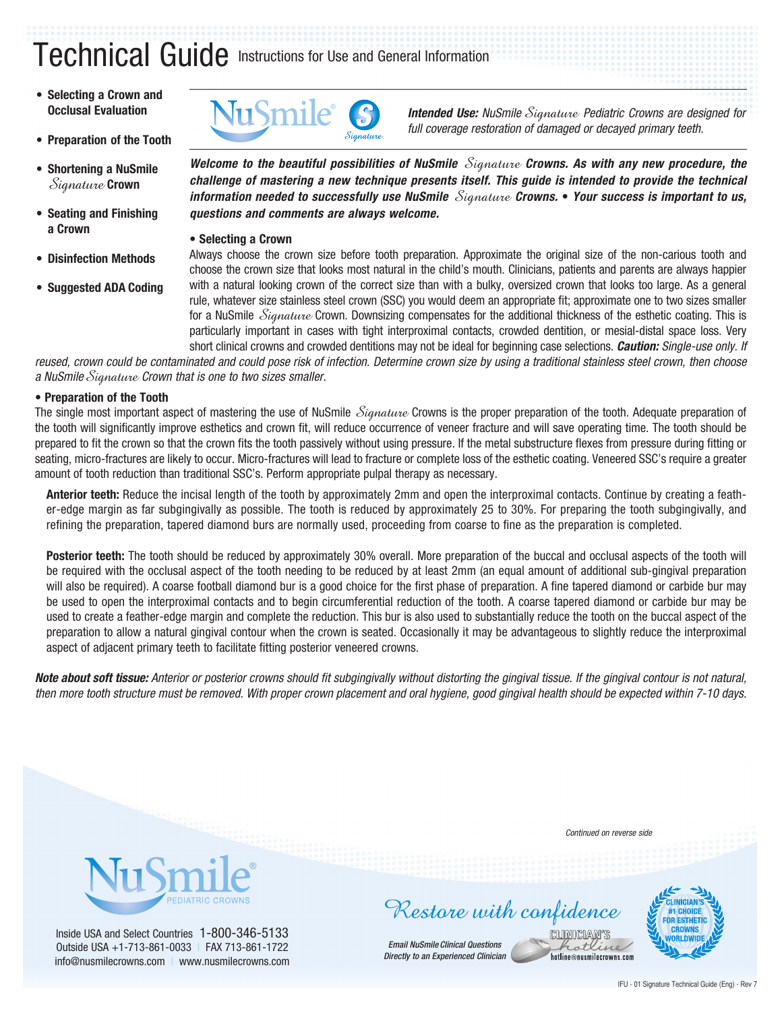# Technical Guide Instructions for Use and General Information

- **• Selecting a Crown and Occlusal Evaluation**
- **• Preparation of the Tooth**
- **• Shortening a NuSmile**  Signature **Crown**
- **• Seating and Finishing a Crown**
- **• Disinfection Methods**
- **• Suggested ADA Coding**



**Intended Use:** NuSmile *Signature* Pediatric Crowns are designed for *full coverage restoration of damaged or decayed primary teeth.*

*Welcome to the beautiful possibilities of NuSmile* Signature *Crowns. As with any new procedure, the challenge of mastering a new technique presents itself. This guide is intended to provide the technical information needed to successfully use NuSmile* Signature *Crowns.* **•** *Your success is important to us, questions and comments are always welcome.*

**• Selecting a Crown**

Always choose the crown size before tooth preparation. Approximate the original size of the non-carious tooth and choose the crown size that looks most natural in the child's mouth. Clinicians, patients and parents are always happier with a natural looking crown of the correct size than with a bulky, oversized crown that looks too large. As a general rule, whatever size stainless steel crown (SSC) you would deem an appropriate fit; approximate one to two sizes smaller for a NuSmile *Signature* Crown. Downsizing compensates for the additional thickness of the esthetic coating. This is particularly important in cases with tight interproximal contacts, crowded dentition, or mesial-distal space loss. Very short clinical crowns and crowded dentitions may not be ideal for beginning case selections. *Caution: Single-use only. If* 

*reused, crown could be contaminated and could pose risk of infection. Determine crown size by using a traditional stainless steel crown, then choose a NuSmile*Signature *Crown that is one to two sizes smaller.*

### **• Preparation of the Tooth**

The single most important aspect of mastering the use of NuSmile Signature Crowns is the proper preparation of the tooth. Adequate preparation of the tooth will significantly improve esthetics and crown fit, will reduce occurrence of veneer fracture and will save operating time. The tooth should be prepared to fit the crown so that the crown fits the tooth passively without using pressure. If the metal substructure flexes from pressure during fitting or seating, micro-fractures are likely to occur. Micro-fractures will lead to fracture or complete loss of the esthetic coating. Veneered SSC's require a greater amount of tooth reduction than traditional SSC's. Perform appropriate pulpal therapy as necessary.

**Anterior teeth:** Reduce the incisal length of the tooth by approximately 2mm and open the interproximal contacts. Continue by creating a feather-edge margin as far subgingivally as possible. The tooth is reduced by approximately 25 to 30%. For preparing the tooth subgingivally, and refining the preparation, tapered diamond burs are normally used, proceeding from coarse to fine as the preparation is completed.

**Posterior teeth:** The tooth should be reduced by approximately 30% overall. More preparation of the buccal and occlusal aspects of the tooth will be required with the occlusal aspect of the tooth needing to be reduced by at least 2mm (an equal amount of additional sub-gingival preparation will also be required). A coarse football diamond bur is a good choice for the first phase of preparation. A fine tapered diamond or carbide bur may be used to open the interproximal contacts and to begin circumferential reduction of the tooth. A coarse tapered diamond or carbide bur may be used to create a feather-edge margin and complete the reduction. This bur is also used to substantially reduce the tooth on the buccal aspect of the preparation to allow a natural gingival contour when the crown is seated. Occasionally it may be advantageous to slightly reduce the interproximal aspect of adjacent primary teeth to facilitate fitting posterior veneered crowns.

*Note about soft tissue: Anterior or posterior crowns should fit subgingivally without distorting the gingival tissue. If the gingival contour is not natural, then more tooth structure must be removed. With proper crown placement and oral hygiene, good gingival health should be expected within 7-10 days.*



Inside USA and Select Countries 1-800-346-5133 Outside USA +1-713-861-0033 I FAX 713-861-1722 info@nusmilecrowns.com | www.nusmilecrowns.com *Continued on reverse side*

otk hotline@nusmilecrowns.com

Restore with confidence **CLINICIAN** 

*Email NuSmile Clinical Questions Directly to an Experienced Clinician*